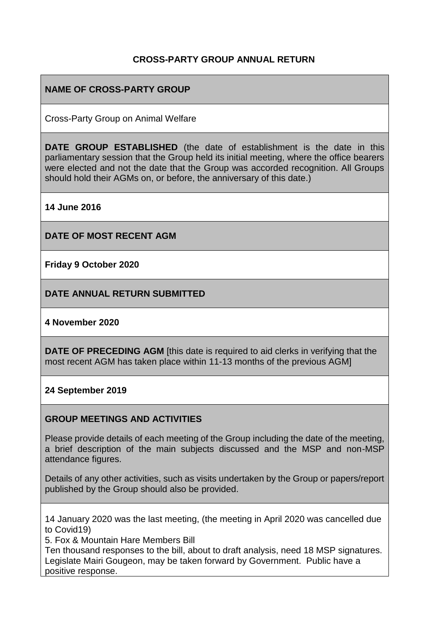### **CROSS-PARTY GROUP ANNUAL RETURN**

### **NAME OF CROSS-PARTY GROUP**

Cross-Party Group on Animal Welfare

**DATE GROUP ESTABLISHED** (the date of establishment is the date in this parliamentary session that the Group held its initial meeting, where the office bearers were elected and not the date that the Group was accorded recognition. All Groups should hold their AGMs on, or before, the anniversary of this date.)

**14 June 2016**

**DATE OF MOST RECENT AGM**

**Friday 9 October 2020**

**DATE ANNUAL RETURN SUBMITTED**

#### **4 November 2020**

**DATE OF PRECEDING AGM** [this date is required to aid clerks in verifying that the most recent AGM has taken place within 11-13 months of the previous AGM]

#### **24 September 2019**

#### **GROUP MEETINGS AND ACTIVITIES**

Please provide details of each meeting of the Group including the date of the meeting, a brief description of the main subjects discussed and the MSP and non-MSP attendance figures.

Details of any other activities, such as visits undertaken by the Group or papers/report published by the Group should also be provided.

14 January 2020 was the last meeting, (the meeting in April 2020 was cancelled due to Covid19)

5. Fox & Mountain Hare Members Bill

Ten thousand responses to the bill, about to draft analysis, need 18 MSP signatures. Legislate Mairi Gougeon, may be taken forward by Government. Public have a positive response.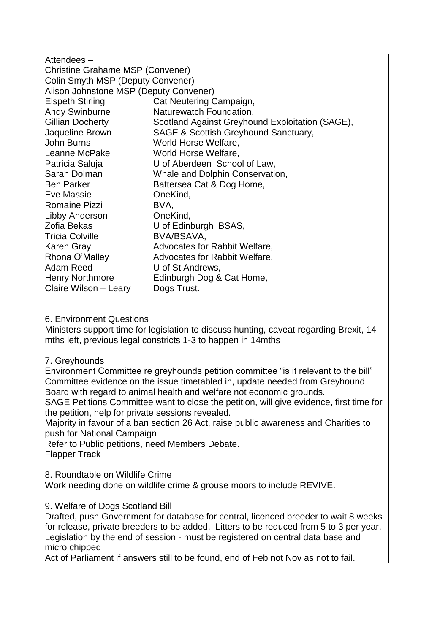| Attendees-                              |                                                 |  |
|-----------------------------------------|-------------------------------------------------|--|
| <b>Christine Grahame MSP (Convener)</b> |                                                 |  |
| Colin Smyth MSP (Deputy Convener)       |                                                 |  |
| Alison Johnstone MSP (Deputy Convener)  |                                                 |  |
| <b>Elspeth Stirling</b>                 | Cat Neutering Campaign,                         |  |
| <b>Andy Swinburne</b>                   | Naturewatch Foundation,                         |  |
| Gillian Docherty                        | Scotland Against Greyhound Exploitation (SAGE), |  |
| Jaqueline Brown                         | SAGE & Scottish Greyhound Sanctuary,            |  |
| John Burns                              | World Horse Welfare,                            |  |
| Leanne McPake                           | World Horse Welfare,                            |  |
| Patricia Saluja                         | U of Aberdeen School of Law,                    |  |
| Sarah Dolman                            | Whale and Dolphin Conservation,                 |  |
| <b>Ben Parker</b>                       | Battersea Cat & Dog Home,                       |  |
| Eve Massie                              | OneKind,                                        |  |
| <b>Romaine Pizzi</b>                    | BVA,                                            |  |
| Libby Anderson                          | OneKind,                                        |  |
| Zofia Bekas                             | U of Edinburgh BSAS,                            |  |
| <b>Tricia Colville</b>                  | BVA/BSAVA,                                      |  |
| Karen Gray                              | Advocates for Rabbit Welfare,                   |  |
| Rhona O'Malley                          | Advocates for Rabbit Welfare,                   |  |
| Adam Reed                               | U of St Andrews,                                |  |
| <b>Henry Northmore</b>                  | Edinburgh Dog & Cat Home,                       |  |
| Claire Wilson - Leary                   | Dogs Trust.                                     |  |

#### 6. Environment Questions

Ministers support time for legislation to discuss hunting, caveat regarding Brexit, 14 mths left, previous legal constricts 1-3 to happen in 14mths

### 7. Greyhounds

Environment Committee re greyhounds petition committee "is it relevant to the bill" Committee evidence on the issue timetabled in, update needed from Greyhound Board with regard to animal health and welfare not economic grounds.

SAGE Petitions Committee want to close the petition, will give evidence, first time for the petition, help for private sessions revealed.

Majority in favour of a ban section 26 Act, raise public awareness and Charities to push for National Campaign

Refer to Public petitions, need Members Debate.

Flapper Track

8. Roundtable on Wildlife Crime

Work needing done on wildlife crime & grouse moors to include REVIVE.

9. Welfare of Dogs Scotland Bill

Drafted, push Government for database for central, licenced breeder to wait 8 weeks for release, private breeders to be added. Litters to be reduced from 5 to 3 per year, Legislation by the end of session - must be registered on central data base and micro chipped

Act of Parliament if answers still to be found, end of Feb not Nov as not to fail.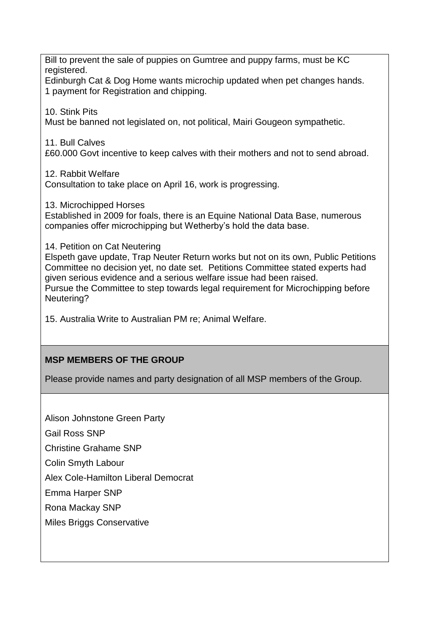Bill to prevent the sale of puppies on Gumtree and puppy farms, must be KC registered.

Edinburgh Cat & Dog Home wants microchip updated when pet changes hands. 1 payment for Registration and chipping.

10. Stink Pits

Must be banned not legislated on, not political, Mairi Gougeon sympathetic.

11. Bull Calves

£60.000 Govt incentive to keep calves with their mothers and not to send abroad.

12. Rabbit Welfare Consultation to take place on April 16, work is progressing.

13. Microchipped Horses

Established in 2009 for foals, there is an Equine National Data Base, numerous companies offer microchipping but Wetherby's hold the data base.

14. Petition on Cat Neutering

Elspeth gave update, Trap Neuter Return works but not on its own, Public Petitions Committee no decision yet, no date set. Petitions Committee stated experts had given serious evidence and a serious welfare issue had been raised. Pursue the Committee to step towards legal requirement for Microchipping before Neutering?

15. Australia Write to Australian PM re; Animal Welfare.

# **MSP MEMBERS OF THE GROUP**

Please provide names and party designation of all MSP members of the Group.

Alison Johnstone Green Party

Gail Ross SNP

Christine Grahame SNP

Colin Smyth Labour

Alex Cole-Hamilton Liberal Democrat

Emma Harper SNP

Rona Mackay SNP

Miles Briggs Conservative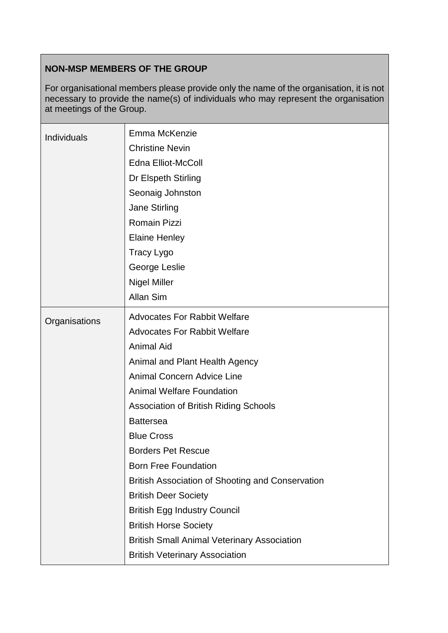# **NON-MSP MEMBERS OF THE GROUP**

For organisational members please provide only the name of the organisation, it is not necessary to provide the name(s) of individuals who may represent the organisation at meetings of the Group.

| <b>Individuals</b> | Emma McKenzie<br><b>Christine Nevin</b><br><b>Edna Elliot-McColl</b><br>Dr Elspeth Stirling<br>Seonaig Johnston<br>Jane Stirling<br><b>Romain Pizzi</b><br><b>Elaine Henley</b><br><b>Tracy Lygo</b><br>George Leslie<br><b>Nigel Miller</b><br>Allan Sim |
|--------------------|-----------------------------------------------------------------------------------------------------------------------------------------------------------------------------------------------------------------------------------------------------------|
| Organisations      | <b>Advocates For Rabbit Welfare</b><br><b>Advocates For Rabbit Welfare</b><br><b>Animal Aid</b>                                                                                                                                                           |
|                    | Animal and Plant Health Agency<br><b>Animal Concern Advice Line</b>                                                                                                                                                                                       |
|                    | <b>Animal Welfare Foundation</b>                                                                                                                                                                                                                          |
|                    | <b>Association of British Riding Schools</b>                                                                                                                                                                                                              |
|                    | <b>Battersea</b><br><b>Blue Cross</b>                                                                                                                                                                                                                     |
|                    | <b>Borders Pet Rescue</b>                                                                                                                                                                                                                                 |
|                    | <b>Born Free Foundation</b>                                                                                                                                                                                                                               |
|                    | British Association of Shooting and Conservation                                                                                                                                                                                                          |
|                    | <b>British Deer Society</b>                                                                                                                                                                                                                               |
|                    | <b>British Egg Industry Council</b>                                                                                                                                                                                                                       |
|                    | <b>British Horse Society</b>                                                                                                                                                                                                                              |
|                    | <b>British Small Animal Veterinary Association</b>                                                                                                                                                                                                        |
|                    | <b>British Veterinary Association</b>                                                                                                                                                                                                                     |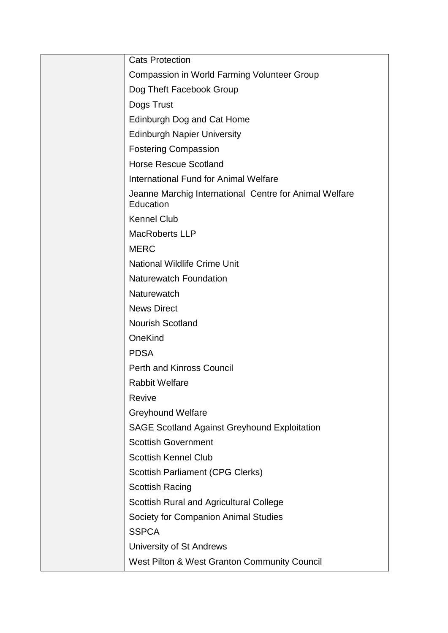| <b>Cats Protection</b>                                              |
|---------------------------------------------------------------------|
| <b>Compassion in World Farming Volunteer Group</b>                  |
| Dog Theft Facebook Group                                            |
| Dogs Trust                                                          |
| Edinburgh Dog and Cat Home                                          |
| <b>Edinburgh Napier University</b>                                  |
| <b>Fostering Compassion</b>                                         |
| <b>Horse Rescue Scotland</b>                                        |
| <b>International Fund for Animal Welfare</b>                        |
| Jeanne Marchig International Centre for Animal Welfare<br>Education |
| <b>Kennel Club</b>                                                  |
| <b>MacRoberts LLP</b>                                               |
| <b>MERC</b>                                                         |
| <b>National Wildlife Crime Unit</b>                                 |
| <b>Naturewatch Foundation</b>                                       |
| Naturewatch                                                         |
| <b>News Direct</b>                                                  |
| <b>Nourish Scotland</b>                                             |
| OneKind                                                             |
| <b>PDSA</b>                                                         |
| <b>Perth and Kinross Council</b>                                    |
| <b>Rabbit Welfare</b>                                               |
| Revive                                                              |
| <b>Greyhound Welfare</b>                                            |
| <b>SAGE Scotland Against Greyhound Exploitation</b>                 |
| <b>Scottish Government</b>                                          |
| <b>Scottish Kennel Club</b>                                         |
| <b>Scottish Parliament (CPG Clerks)</b>                             |
| <b>Scottish Racing</b>                                              |
| <b>Scottish Rural and Agricultural College</b>                      |
| Society for Companion Animal Studies                                |
| <b>SSPCA</b>                                                        |
| University of St Andrews                                            |
| West Pilton & West Granton Community Council                        |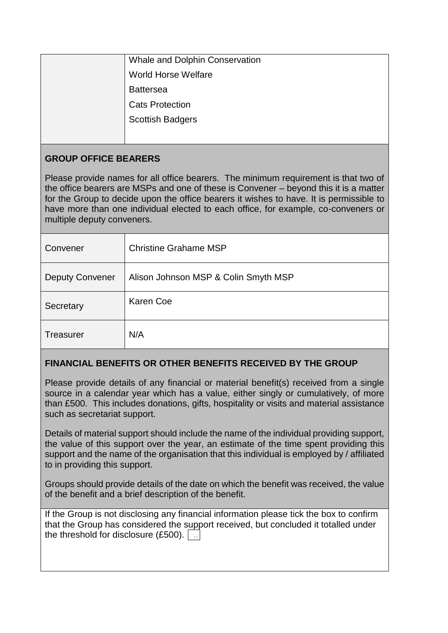| Whale and Dolphin Conservation |
|--------------------------------|
| <b>World Horse Welfare</b>     |
| <b>Battersea</b>               |
| <b>Cats Protection</b>         |
| <b>Scottish Badgers</b>        |
|                                |

# **GROUP OFFICE BEARERS**

Please provide names for all office bearers. The minimum requirement is that two of the office bearers are MSPs and one of these is Convener – beyond this it is a matter for the Group to decide upon the office bearers it wishes to have. It is permissible to have more than one individual elected to each office, for example, co-conveners or multiple deputy conveners.

| Convener               | <b>Christine Grahame MSP</b>         |
|------------------------|--------------------------------------|
| <b>Deputy Convener</b> | Alison Johnson MSP & Colin Smyth MSP |
| Secretary              | <b>Karen Coe</b>                     |
| <b>Treasurer</b>       | N/A                                  |

# **FINANCIAL BENEFITS OR OTHER BENEFITS RECEIVED BY THE GROUP**

Please provide details of any financial or material benefit(s) received from a single source in a calendar year which has a value, either singly or cumulatively, of more than £500. This includes donations, gifts, hospitality or visits and material assistance such as secretariat support.

Details of material support should include the name of the individual providing support, the value of this support over the year, an estimate of the time spent providing this support and the name of the organisation that this individual is employed by / affiliated to in providing this support.

Groups should provide details of the date on which the benefit was received, the value of the benefit and a brief description of the benefit.

If the Group is not disclosing any financial information please tick the box to confirm that the Group has considered the support received, but concluded it totalled under the threshold for disclosure (£500).  $\boxed{\phantom{a}}$